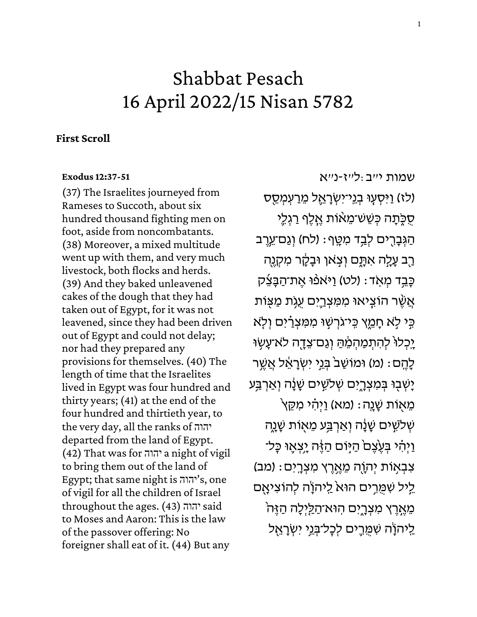# Shabbat Pesach 16 April 2022/15 Nisan 5782

# **First Scroll**

## **[Exodus 12:37-51](https://www.sefaria.org/Exodus.12.37-51)**

(37) The Israelites journeyed from Rameses to Succoth, about six hundred thousand fighting men on foot, aside from noncombatants. (38) Moreover, a mixed multitude went up with them, and very much livestock, both flocks and herds. (39) And they baked unleavened cakes of the dough that they had taken out of Egypt, for it was not leavened, since they had been driven out of Egypt and could not delay; nor had they prepared any provisions for themselves. (40) The length of time that the Israelites lived in Egypt was four hundred and thirty years; (41) at the end of the four hundred and thirtieth year, to the very day, all the ranks of יהוה departed from the land of Egypt. (42) That was for יהוה a night of vigil to bring them out of the land of Egypt; that same night is יהוה's, one of vigil for all the children of Israel throughout the ages. (43) יהוה to Moses and Aaron: This is the law of the passover offering: No foreigner shall eat of it. (44) But any

[שמות](https://www.sefaria.org/Exodus.12.37-51) [י״ב:ל״ז-נ״א](https://www.sefaria.org/Exodus.12.37-51)  (לז) וַיִּסְעָוּ בְנֵי־יִשְׂרָאֱל מֵרַעְמְסֵס ּ סְכָּתָה כִּשֶׁשׁ־מֵאֹוֹת אֱלֵף רַגְלֵי ּהַגְּבָרֶים לְבַד מִטֶּף: (לח) וְגַם־עֵרֵב ַּרְב עַלֵּה אִתָּם וְצְאוְ וּבַקָר מִקְנֵה ּכָּבֵד מְאָד: (לט) וַיּאפֿוּ אֱת־הַבָּצֵיק אֲשֶׁר הוֹצֵיאוּ מִמְּצְרֵיִם עָגְת מַצְּוֹת ְבֶּי לְא חָמֱץ בֵּי־גֹרְשְׁוּ מְמִצְרַ֫יִם וְלָא יָכְלוּ לְהִתְמַהִמֶּה וְגַם־צֵדָה לֹא־עָשְׂוּ ֹלָהֱם: (מ) וּמוֹשַׁבֹּ בְּנֵי יִשְׂרָאֵל אֲשֱר יָשְׁבִּוּ בִּמְצְרָיָם שְׁלֹשֵׁים שָׁנָָה וְאַרְבַּע ֿמֵאִוֹּת שָׁנֵה: (מא) וַיְהָי מִקֵּץ ְשְׁלֹשֶׁים שָׁנָָה וְאַרְבַּע מֵאָוֹת שָׁנֶה וַיְהָי בְּעֵצֶם הַיִּּוֹם הַזֶּה יַצְאֵוּ כָּל־ ֹצְבְאִוֹת יְהָוֶה מֵאֱרֵץ מִצְרֵיִם: (מִב) ליל שִמֵּרים הוּא ליהוֹה להוציאם ּמֵאֲרֵץ מִצְרֶיִּם הְוּא־הַלַּיְלָה הַזֶּה ַלִיהוָׂה שִׁמֵרֵים לִכָּל־בְּנֵי יִשְׂרָאֵל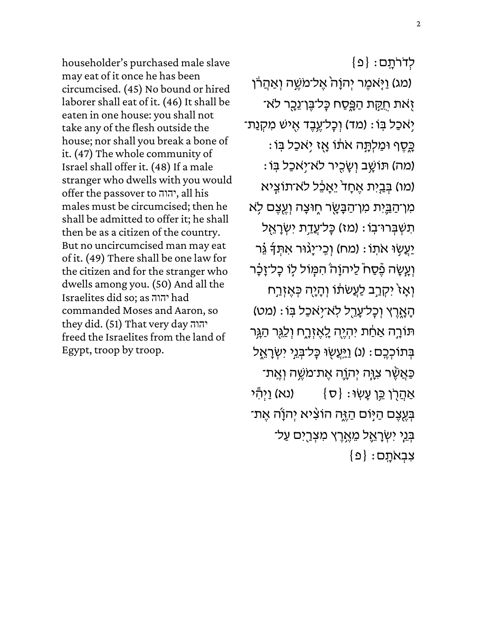householder's purchased male slave may eat of it once he has been circumcised. (45) No bound or hired laborer shall eat of it. (46) It shall be eaten in one house: you shall not take any of the flesh outside the house; nor shall you break a bone of it. (47) The whole community of Israel shall offer it. (48) If a male stranger who dwells with you would offer the passover to יהוה, all his males must be circumcised; then he shall be admitted to offer it; he shall then be as a citizen of the country. But no uncircumcised man may eat of it. (49) There shall be one law for the citizen and for the stranger who dwells among you. (50) And all the Israelites did so; as יהוה had commanded Moses and Aaron, so they did. (51) That very day יהוה freed the Israelites from the land of Egypt, troop by troop.

 $\{ \mathsf{o} \}$  ; לְדרֹתֵם (מג) וַיָּאמֶר יְהוָהֹ אֱל־מֹשֶׁה וְאַהֲרֹן זְאת חֻקָּת הַפִֵּסַח כָּל־בֵּן־נֵכָר לֹא־ יְאכַל בְּוֹ : (מד) וִכָּל־עֱבֶד אִישׁ מִקְנַת־ ַּכְּסֶף וּמַלְתָּה אֹתוֹ אָז יִאכַל בִּוֹ : (מה) תּוֹשֶׁב וְשָׂכִיר לא־יְאכַל בִּוֹ (מו) בְּבֵיִת אֵחָד<sup>י</sup> יֵאָבֶל לא־תוֹצֵיא מִּ הַ<u>בְּ</u>יִּת מִּו־הַבְּשֵׂר חֶוּצָה וְעֻצֶם לָא תִשְׁבָּרוּ־בָוֹ : (מז) כַּל־עֲ<u>ד</u>ָת יִשְׂרָאֵל ֿיַעֲשָׂוּ אֹתָוֹ : (מַח) וְכֵי־יָגוּר אִתְּדָּ גֶֿר וְעֲשֶׂה בֶּ֫סָח לַיהוַה הִמְּוֹל לִו כַל־זַבָּ֫ר וְאָזֹ יִקְרֵב לַעֲשתוֹ וְהָיָה כְּאֱזְרַח ֹהָאֶרֵץ וִכָּל־עָרֵל לְאֹ־יְאֹכַל בְּוֹ : (מט) תּוֹרָה אַחַׁת יִהְיֶה לֶאֶזְרֶח וְלַגֵּר הַגְּר בְּתוֹכְבֵם : (נ) <u>וַיְּע</u>ֵשְׂוּ כָּל־בְּנֵי יִשְׂרָאֵל ַּכְּאֲשֶׁר צְוָּה יְהָוֶה אֱת־מֹשֱה וְאֱת־ אַהֲרֶן כֵּן עַשְׂוּ $\{\sigma\}$  (נא) וַיִּהְי ּבְּעֵצֵם הַיִּּוֹם הַזֶּה הוֹצִּיא יִהוָׂה אֵת־ ּבְנֵי יִשְׂרָאֱל מֶאֱרֶץ מִצְרֵיִם עַל־  $\{ \Omega \} :$ צִּבְאֹתֵם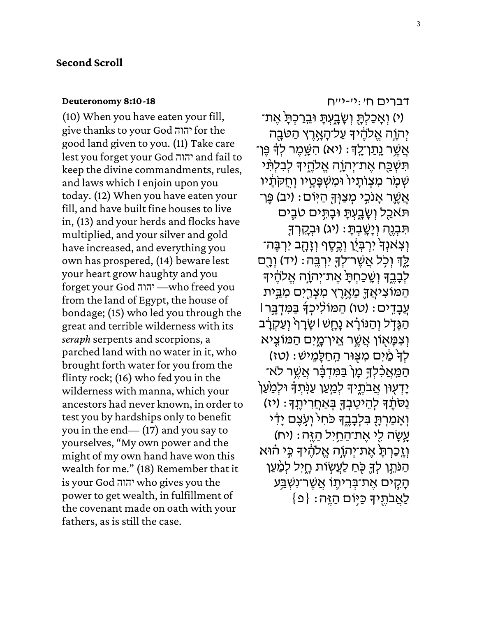#### **[Deuteronomy 8:10-18](https://www.sefaria.org/Deuteronomy.8.10-18)**

(10) When you have eaten your fill, give thanks to your God יהוה for the good land given to you. (11) Take care lest you forget your God יהוה and fail to keep the divine commandments, rules, and laws which I enjoin upon you today. (12) When you have eaten your fill, and have built fine houses to live in, (13) and your herds and flocks have multiplied, and your silver and gold have increased, and everything you own has prospered, (14) beware lest your heart grow haughty and you forget your God יהוה— who freed you from the land of Egypt, the house of bondage; (15) who led you through the great and terrible wilderness with its *seraph* serpents and scorpions, a parched land with no water in it, who brought forth water for you from the flinty rock; (16) who fed you in the wilderness with manna, which your ancestors had never known, in order to test you by hardships only to benefit you in the end— (17) and you say to yourselves, "My own power and the might of my own hand have won this wealth for me." (18) Remember that it is your God יהוה who gives you the power to get wealth, in fulfillment of the covenant made on oath with your fathers, as is still the case.

[דברים](https://www.sefaria.org/Deuteronomy.8.10-18) [ח׳:י׳-י״ח](https://www.sefaria.org/Deuteronomy.8.10-18)

י) וְאָכַלְתָּ וְשָׂבָעְתָ *וּבֵרַכְתָ* אֶת־) יְהָוֶה אֱלֹהֶ֫ידְּ עַל־הָאָרֵץ הַטֹּבָה ּאֲשֶׁר <u>נָתַ</u>ן־לֵךְ: (יא) הָשֶׁמֶר לְךָּ פֵּן־ תִּשְׁכַּח אֵת־יִהְוֶה אֱלֹהֱיִךָּ לִבְלִתִּ֫י שִׁמָּר מִצְוֹתָיוֹ וּמִשְׁפָּטָיו וְחָקִתָּיו ּאֲשֱר אֲנֹכֵי מִצַוִּּךְ הַיִּוֹם: (יִב) פֵּן־ תֹּאכַל וְשָׂבָעִתָּ וּבָתִּים טֹבֵים ּתִּבְנֶה וְיָשֶׁבְתָּ׃ (יג) וּבְקֶרְךָ וִ צְאֹנִךְ יִרְבְּיָ֫ן וְכֵסֵף וְזָהָב יִרְבֵּה־ ְלֶךְ וְכְל אֲשֶׁר־לְךָּ יִרְבֶּה: (יד) וְרָם לְבָבֶד וְשֶׁכַחְתָ אֶת־יְהֹוָה אֱלֹהֶיד הַמּוֹצִיאֲךֵָ מֶאֱרֶץ מִצְרֵיִם מִבֵּית ּ עֲבָדֵים: (טו) הַמּוֹלִיכְךָֿ בַּמִּדְבֵּר| ּהַנִּדְל וְהַנּוֹרָא נָחָשׁ | שָׂרָף וְעַקְרָב ֿוְצִמַּאוֹן אֲשֶׁר אֱין־מֵיִם הַמּוֹצִיא לְךָׂ מַׁיִּם מִצְוּר הַחַלָּמֵישׁ: (טז) ֿ הַמַּאֲכָ֫לִדְּ כְּוֹ בַּמִּדִּבָּ֫ר אֲשֱר לֹא יִדְעָוּן אֲבֹתֱיִךָּ לְמַ<sup>ּ</sup>עַן עַנְּתְדָּ וּלְמַ<sup>ּ</sup>עַן ַּנְסֹּתֶ֫דָּ לְהֵיטֶבְדָּ בְּאַחֲרִיתֶֽדָּ׃ (יז) וְאָמַרְתָּ בִּלְבָבֵךְ כֹּחִי וְעָצֵם יַדִּי עְשָׂה לִי אֶת־הַחַיִל הַזֶּה: (יח) וְזֶכַרְתָּ אֵת־יִהְוֶה אֱלֹהֶיךָ כִּי הוּא הַנּהֵן לִךְ כְּחַ לַעֲשָׂוֹת חָיִל לִמַּעַן ְהַקִים אֱת־בִּרִיתֵוֹ אֲשֶׁר־נִשְׁבֵּע  $\{ \mathfrak{Q} \}$  : לַאֲבֹתֵיךָ כַּיְוֹם הַזֶּה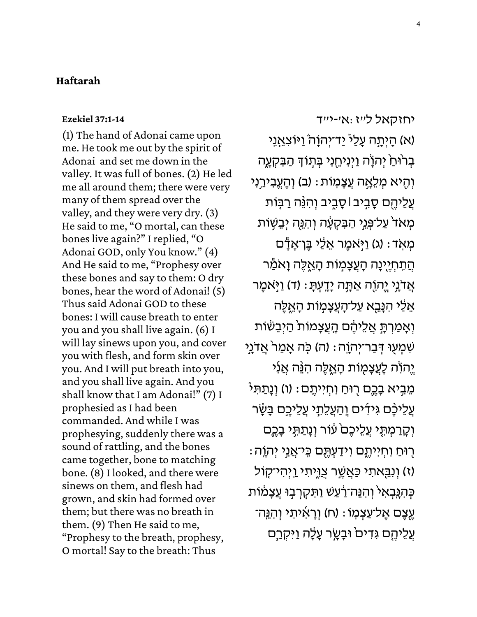## **Haftarah**

## **[Ezekiel 37:1-14](https://www.sefaria.org/Ezekiel.37.1-14)**

(1) The hand of Adonai came upon me. He took me out by the spirit of Adonai and set me down in the valley. It was full of bones. (2) He led me all around them; there were very many of them spread over the valley, and they were very dry. (3) He said to me, "O mortal, can these bones live again?" I replied, "O Adonai GOD, only You know." (4) And He said to me, "Prophesy over these bones and say to them: O dry bones, hear the word of Adonai! (5) Thus said Adonai GOD to these bones: I will cause breath to enter you and you shall live again. (6) I will lay sinews upon you, and cover you with flesh, and form skin over you. And I will put breath into you, and you shall live again. And you shall know that I am Adonai!" (7) I prophesied as I had been commanded. And while I was prophesying, suddenly there was a sound of rattling, and the bones came together, bone to matching bone. (8) I looked, and there were sinews on them, and flesh had grown, and skin had formed over them; but there was no breath in them. (9) Then He said to me, "Prophesy to the breath, prophesy, O mortal! Say to the breath: Thus

[יחזקאל](https://www.sefaria.org/Ezekiel.37.1-14) [ל״ז: א׳-י״ ד](https://www.sefaria.org/Ezekiel.37.1-14) (א) הָיְתָה עָלַי *י*ַד־יְהוָהׂ וַיּוֹצִאֲנִי בְרֹוּחַ יְהֹוָה וַיְנִיחֵנִי בְּתְוֹדְ הַבִּקְעֶה וְהָיא מִלֵאָה עֲצָמְוֹת: (ב) וְהֵעֱבִירַנִי ַעֲלֵיהֶם סָבְיִב|סָבָיב וְהִנֵּ֫ה רַבְּוֹת מְאדֹ עַל־פְּגֵי הַבִּקְעָה וְהִגֶּה יְבֵשָׁוֹת מְאָד: (ג) וַיְּאמֶר אֵלַי בֶּן־אָדָָ֫ם ֿהֲתִחְיֶינָה הָעֲצָמָוֹת הָאֱלֶה וָאֹמַל אֲדֹנֵי יֵהוֹה אַתָּה יָדֵעִתָּ: (ד) וַיְּאמֵר ּאֵלֵי הִנָּבֵא עַל־הָעֲצָמָוֹת הָאֱלֶה וְאָמַרְתָּ אֲלֵיהֶם הָעֲצָמוֹת הַיְבֵשִׁוֹת ּשְׁמְעָוּ דְּבַר־יְהוֶה : (ה) כָּה אָמַר אֲדֹנֵי יֵהוֹה לָעֲצָמָוֹת הָאֱלֵה הִ<sup>ג</sup>ֲה אֲנִי ּמֵבְיא בָכֶם רֻוּּחַ וִחְיִיתֶם : (ו) וְנָתַתִּי עֲלֵיכֶּם גִּידִים וְהַעֲלֵתָי עֲלֵי<u>כֶ</u>ם בָּשָׂר וְקָרַמְתָ*ּי* עֲלֵיכֶם<sup>ּ</sup> עִוֹר וְנָתַתִּי בָכֶם ָרִיּחַ וִחְיִיתֶם וִידַעְתֶּם כֵּי־אֲנֵי יְהֹוֶה: (ז) וְנִבֵּאתִי כַּאֲשֶׁך צַוֵּיְתִי וַיְהִי־קָוֹל ּכְּהָנִּבְאִי וְהִנֵּה־רַעַשׁ וַתִּקְרְבָוּ עֲצָמֹות ְעֶצֶם אֶל־עַצְמְוֹ : (ח) וְרָאִיתִי וְהָגֵּה־ **ְעֲלֵיהֱם גִּדִיםׂ וּבָעֲר עָלֶה וַיִּקְרַם**